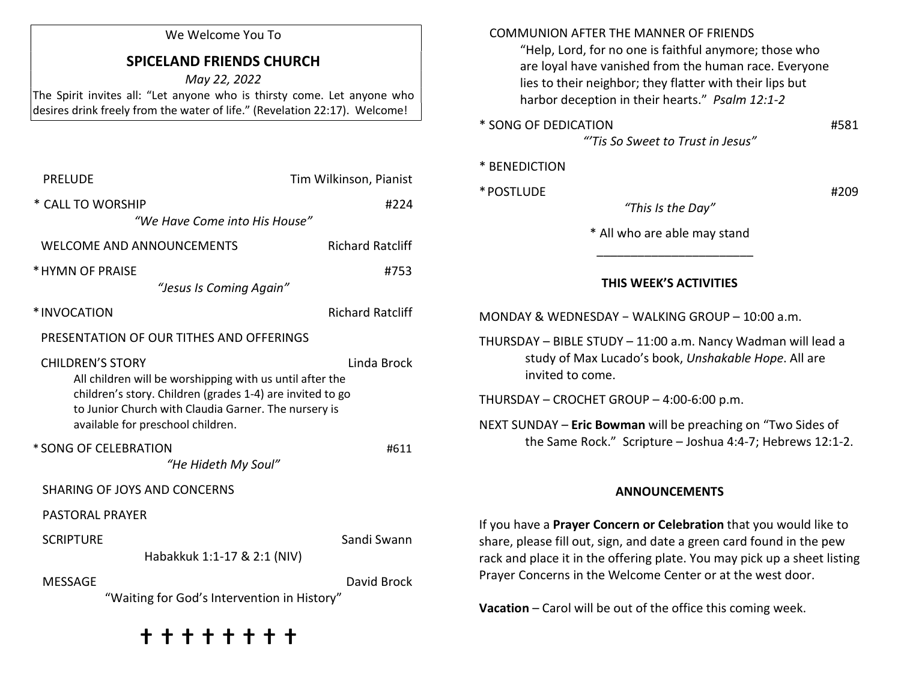| We Welcome You To<br><b>SPICELAND FRIENDS CHURCH</b><br>May 22, 2022<br>The Spirit invites all: "Let anyone who is thirsty come. Let anyone who<br>desires drink freely from the water of life." (Revelation 22:17). Welcome!                                                                                        |                        | <b>COMMUNION AFTER THE MANNER OF FRIENDS</b><br>"Help, Lord, for no one is faithful anymore; those who<br>are loyal have vanished from the human race. Everyone<br>lies to their neighbor; they flatter with their lips but<br>harbor deception in their hearts." Psalm 12:1-2 |      |
|----------------------------------------------------------------------------------------------------------------------------------------------------------------------------------------------------------------------------------------------------------------------------------------------------------------------|------------------------|--------------------------------------------------------------------------------------------------------------------------------------------------------------------------------------------------------------------------------------------------------------------------------|------|
|                                                                                                                                                                                                                                                                                                                      |                        |                                                                                                                                                                                                                                                                                |      |
| <b>PRELUDE</b>                                                                                                                                                                                                                                                                                                       | Tim Wilkinson, Pianist | * BENEDICTION<br>* POSTLUDE                                                                                                                                                                                                                                                    | #209 |
| * CALL TO WORSHIP                                                                                                                                                                                                                                                                                                    | #224                   | "This Is the Day"                                                                                                                                                                                                                                                              |      |
| "We Have Come into His House"<br><b>Richard Ratcliff</b><br><b>WELCOME AND ANNOUNCEMENTS</b>                                                                                                                                                                                                                         |                        | * All who are able may stand                                                                                                                                                                                                                                                   |      |
| * HYMN OF PRAISE<br>#753<br>"Jesus Is Coming Again"                                                                                                                                                                                                                                                                  |                        | THIS WEEK'S ACTIVITIES                                                                                                                                                                                                                                                         |      |
| <b>Richard Ratcliff</b><br>*INVOCATION                                                                                                                                                                                                                                                                               |                        | MONDAY & WEDNESDAY - WALKING GROUP - 10:00 a.m.                                                                                                                                                                                                                                |      |
| PRESENTATION OF OUR TITHES AND OFFERINGS                                                                                                                                                                                                                                                                             |                        | THURSDAY - BIBLE STUDY - 11:00 a.m. Nancy Wadman will lead a<br>study of Max Lucado's book, Unshakable Hope. All are<br>invited to come.                                                                                                                                       |      |
| <b>CHILDREN'S STORY</b><br>Linda Brock<br>All children will be worshipping with us until after the<br>children's story. Children (grades 1-4) are invited to go<br>to Junior Church with Claudia Garner. The nursery is<br>available for preschool children.<br>* SONG OF CELEBRATION<br>#611<br>"He Hideth My Soul" |                        |                                                                                                                                                                                                                                                                                |      |
|                                                                                                                                                                                                                                                                                                                      |                        | THURSDAY - CROCHET GROUP - 4:00-6:00 p.m.                                                                                                                                                                                                                                      |      |
|                                                                                                                                                                                                                                                                                                                      |                        | NEXT SUNDAY - Eric Bowman will be preaching on "Two Sides of<br>the Same Rock." Scripture - Joshua 4:4-7; Hebrews 12:1-2.                                                                                                                                                      |      |
|                                                                                                                                                                                                                                                                                                                      |                        |                                                                                                                                                                                                                                                                                |      |
| <b>PASTORAL PRAYER</b>                                                                                                                                                                                                                                                                                               |                        |                                                                                                                                                                                                                                                                                |      |
| <b>SCRIPTURE</b><br>Habakkuk 1:1-17 & 2:1 (NIV)                                                                                                                                                                                                                                                                      | Sandi Swann            | If you have a Prayer Concern or Celebration that you would like to<br>share, please fill out, sign, and date a green card found in the pew<br>rack and place it in the offering plate. You may pick up a sheet listing                                                         |      |
| <b>MESSAGE</b>                                                                                                                                                                                                                                                                                                       | David Brock            | Prayer Concerns in the Welcome Center or at the west door.                                                                                                                                                                                                                     |      |
| "Waiting for God's Intervention in History"                                                                                                                                                                                                                                                                          |                        | Vacation - Carol will be out of the office this coming week.                                                                                                                                                                                                                   |      |
| + + + + + + +                                                                                                                                                                                                                                                                                                        |                        |                                                                                                                                                                                                                                                                                |      |